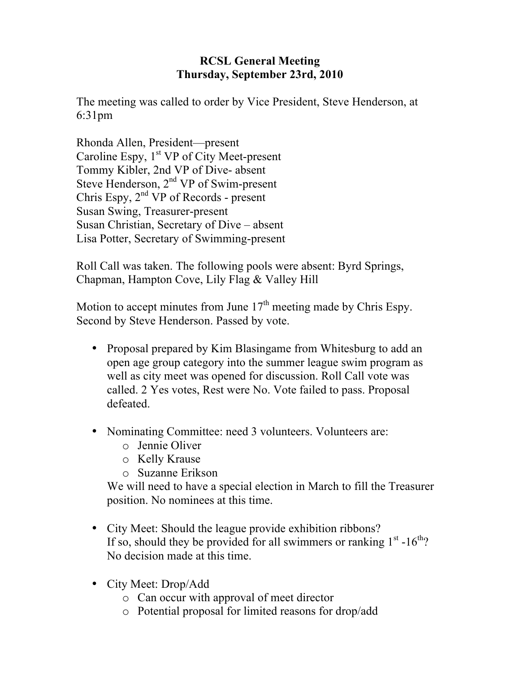## **RCSL General Meeting Thursday, September 23rd, 2010**

The meeting was called to order by Vice President, Steve Henderson, at 6:31pm

Rhonda Allen, President—present Caroline Espy,  $1<sup>st</sup> VP$  of City Meet-present Tommy Kibler, 2nd VP of Dive- absent Steve Henderson,  $2<sup>nd</sup> VP$  of Swim-present Chris Espy,  $2<sup>nd</sup> VP$  of Records - present Susan Swing, Treasurer-present Susan Christian, Secretary of Dive – absent Lisa Potter, Secretary of Swimming-present

Roll Call was taken. The following pools were absent: Byrd Springs, Chapman, Hampton Cove, Lily Flag & Valley Hill

Motion to accept minutes from June  $17<sup>th</sup>$  meeting made by Chris Espy. Second by Steve Henderson. Passed by vote.

- Proposal prepared by Kim Blasingame from Whitesburg to add an open age group category into the summer league swim program as well as city meet was opened for discussion. Roll Call vote was called. 2 Yes votes, Rest were No. Vote failed to pass. Proposal defeated.
- Nominating Committee: need 3 volunteers. Volunteers are:
	- o Jennie Oliver
	- o Kelly Krause
	- o Suzanne Erikson

We will need to have a special election in March to fill the Treasurer position. No nominees at this time.

- City Meet: Should the league provide exhibition ribbons? If so, should they be provided for all swimmers or ranking  $1<sup>st</sup> - 16<sup>th</sup>$ ? No decision made at this time.
- City Meet: Drop/Add
	- o Can occur with approval of meet director
	- o Potential proposal for limited reasons for drop/add